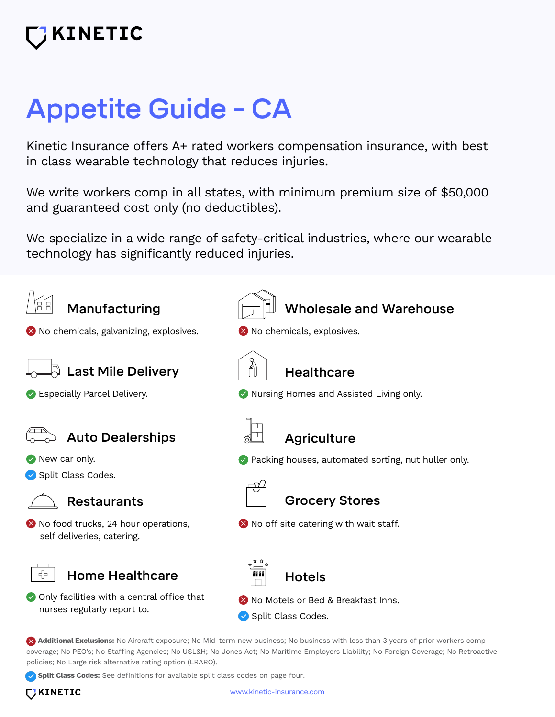## **INETIC**

# Appetite Guide - CA

Kinetic Insurance offers A+ rated workers compensation insurance, with best in class wearable technology that reduces injuries.

We write workers comp in all states, with minimum premium size of \$50,000 and guaranteed cost only (no deductibles).

We specialize in a wide range of safety-critical industries, where our wearable technology has significantly reduced injuries.



**Split Class Codes:** See definitions for available split class codes on page four.

**TIKINETIC**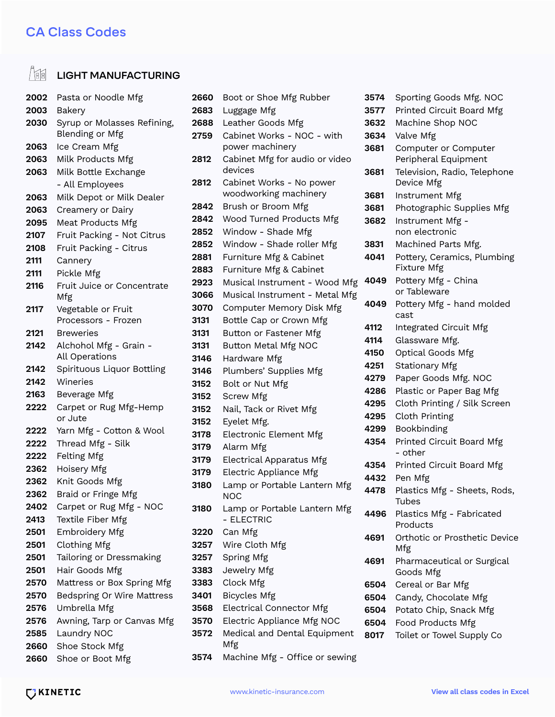#### CA Class Codes

### **LIGHT MANUFACTURING**

| 2002 | Pasta or Noodle Mfg                            |  |  |  |  |
|------|------------------------------------------------|--|--|--|--|
| 2003 | Bakery                                         |  |  |  |  |
| 2030 | Syrup or Molasses Refining,<br>Blending or Mfg |  |  |  |  |
| 2063 | Ice Cream Mfg                                  |  |  |  |  |
| 2063 | Milk Products Mfg                              |  |  |  |  |
| 2063 | Milk Bottle Exchange                           |  |  |  |  |
|      | - All Employees                                |  |  |  |  |
| 2063 | Milk Depot or Milk Dealer                      |  |  |  |  |
| 2063 | Creamery or Dairy                              |  |  |  |  |
| 2095 | Meat Products Mfg                              |  |  |  |  |
| 2107 | Fruit Packing - Not Citrus                     |  |  |  |  |
| 2108 | Fruit Packing - Citrus                         |  |  |  |  |
| 2111 | Cannery                                        |  |  |  |  |
| 2111 | Pickle Mfg                                     |  |  |  |  |
| 2116 | Fruit Juice or Concentrate<br>Mfg              |  |  |  |  |
| 2117 | Vegetable or Fruit<br>Processors - Frozen      |  |  |  |  |
| 2121 | <b>Breweries</b>                               |  |  |  |  |
| 2142 | Alchohol Mfg - Grain -<br>All Operations       |  |  |  |  |
| 2142 | Spirituous Liquor Bottling                     |  |  |  |  |
| 2142 | Wineries                                       |  |  |  |  |
| 2163 | Beverage Mfg                                   |  |  |  |  |
| 2222 | Carpet or Rug Mfg-Hemp<br>or Jute              |  |  |  |  |
| 2222 | Yarn Mfg - Cotton & Wool                       |  |  |  |  |
| 2222 | Thread Mfg - Silk                              |  |  |  |  |
| 2222 | Felting Mfg                                    |  |  |  |  |
| 2362 | Hoisery Mfg                                    |  |  |  |  |
| 2362 | Knit Goods Mfg                                 |  |  |  |  |
| 2362 | Braid or Fringe Mfg                            |  |  |  |  |
| 2402 | Carpet or Rug Mfg - NOC                        |  |  |  |  |
| 2413 | Textile Fiber Mfg                              |  |  |  |  |
| 2501 | <b>Embroidery Mfg</b>                          |  |  |  |  |
| 2501 | <b>Clothing Mfg</b>                            |  |  |  |  |
| 2501 | Tailoring or Dressmaking                       |  |  |  |  |
| 2501 | Hair Goods Mfg                                 |  |  |  |  |
| 2570 | Mattress or Box Spring Mfg                     |  |  |  |  |
| 2570 | <b>Bedspring Or Wire Mattress</b>              |  |  |  |  |
| 2576 | Umbrella Mfg                                   |  |  |  |  |
| 2576 | Awning, Tarp or Canvas Mfg                     |  |  |  |  |
| 2585 | Laundry NOC                                    |  |  |  |  |
| 2660 | Shoe Stock Mfg                                 |  |  |  |  |
| 2660 | Shoe or Boot Mfg                               |  |  |  |  |

| Luggage Mfg<br>2683<br>Leather Goods Mfg<br>2688<br>Cabinet Works - NOC - with<br>2759<br>power machinery<br>Cabinet Mfg for audio or video<br>2812<br>devices<br>Cabinet Works - No power<br>2812<br>woodworking machinery<br>Brush or Broom Mfg<br>2842<br>Wood Turned Products Mfg<br>2842<br>Window - Shade Mfg<br>2852<br>Window - Shade roller Mfg<br>2852<br>Furniture Mfg & Cabinet<br>2881<br>Furniture Mfg & Cabinet<br>2883 |  |
|----------------------------------------------------------------------------------------------------------------------------------------------------------------------------------------------------------------------------------------------------------------------------------------------------------------------------------------------------------------------------------------------------------------------------------------|--|
|                                                                                                                                                                                                                                                                                                                                                                                                                                        |  |
|                                                                                                                                                                                                                                                                                                                                                                                                                                        |  |
|                                                                                                                                                                                                                                                                                                                                                                                                                                        |  |
|                                                                                                                                                                                                                                                                                                                                                                                                                                        |  |
|                                                                                                                                                                                                                                                                                                                                                                                                                                        |  |
|                                                                                                                                                                                                                                                                                                                                                                                                                                        |  |
|                                                                                                                                                                                                                                                                                                                                                                                                                                        |  |
|                                                                                                                                                                                                                                                                                                                                                                                                                                        |  |
|                                                                                                                                                                                                                                                                                                                                                                                                                                        |  |
|                                                                                                                                                                                                                                                                                                                                                                                                                                        |  |
|                                                                                                                                                                                                                                                                                                                                                                                                                                        |  |
|                                                                                                                                                                                                                                                                                                                                                                                                                                        |  |
|                                                                                                                                                                                                                                                                                                                                                                                                                                        |  |
| Musical Instrument - Wood Mfg<br>2923                                                                                                                                                                                                                                                                                                                                                                                                  |  |
| 3066<br>Musical Instrument - Metal Mfg                                                                                                                                                                                                                                                                                                                                                                                                 |  |
| Computer Memory Disk Mfg<br>3070                                                                                                                                                                                                                                                                                                                                                                                                       |  |
| Bottle Cap or Crown Mfg<br>3131                                                                                                                                                                                                                                                                                                                                                                                                        |  |
| Button or Fastener Mfg<br>3131                                                                                                                                                                                                                                                                                                                                                                                                         |  |
| Button Metal Mfg NOC<br>3131                                                                                                                                                                                                                                                                                                                                                                                                           |  |
| Hardware Mfg<br>3146                                                                                                                                                                                                                                                                                                                                                                                                                   |  |
| Plumbers' Supplies Mfg<br>3146                                                                                                                                                                                                                                                                                                                                                                                                         |  |
| 3152<br>Bolt or Nut Mfg                                                                                                                                                                                                                                                                                                                                                                                                                |  |
| <b>Screw Mfg</b><br>3152                                                                                                                                                                                                                                                                                                                                                                                                               |  |
| Nail, Tack or Rivet Mfg<br>3152                                                                                                                                                                                                                                                                                                                                                                                                        |  |
| Eyelet Mfg.<br>3152                                                                                                                                                                                                                                                                                                                                                                                                                    |  |
| <b>Electronic Element Mfg</b><br>3178                                                                                                                                                                                                                                                                                                                                                                                                  |  |
| Alarm Mfg<br>3179                                                                                                                                                                                                                                                                                                                                                                                                                      |  |
| <b>Electrical Apparatus Mfg</b><br>3179                                                                                                                                                                                                                                                                                                                                                                                                |  |
| Electric Appliance Mfg<br>3179                                                                                                                                                                                                                                                                                                                                                                                                         |  |
| Lamp or Portable Lantern Mfg<br>3180<br>NOC                                                                                                                                                                                                                                                                                                                                                                                            |  |
| Lamp or Portable Lantern Mfg<br>3180<br>- ELECTRIC                                                                                                                                                                                                                                                                                                                                                                                     |  |
| Can Mfg<br>3220                                                                                                                                                                                                                                                                                                                                                                                                                        |  |
| Wire Cloth Mfg<br>3257                                                                                                                                                                                                                                                                                                                                                                                                                 |  |
| 3257<br>Spring Mfg                                                                                                                                                                                                                                                                                                                                                                                                                     |  |
| Jewelry Mfg<br>3383                                                                                                                                                                                                                                                                                                                                                                                                                    |  |
| Clock Mfg<br>3383                                                                                                                                                                                                                                                                                                                                                                                                                      |  |
| <b>Bicycles Mfg</b><br>3401                                                                                                                                                                                                                                                                                                                                                                                                            |  |
| <b>Electrical Connector Mfg</b><br>3568                                                                                                                                                                                                                                                                                                                                                                                                |  |
| Electric Appliance Mfg NOC<br>3570                                                                                                                                                                                                                                                                                                                                                                                                     |  |
| Medical and Dental Equipment<br>3572                                                                                                                                                                                                                                                                                                                                                                                                   |  |
| Mfg                                                                                                                                                                                                                                                                                                                                                                                                                                    |  |

Machine Mfg - Office or sewing

| 3574 | Sporting Goods Mfg. NOC                    |  |  |  |  |
|------|--------------------------------------------|--|--|--|--|
| 3577 | Printed Circuit Board Mfg                  |  |  |  |  |
| 3632 | Machine Shop NOC                           |  |  |  |  |
| 3634 | Valve Mfg                                  |  |  |  |  |
| 3681 | Computer or Computer                       |  |  |  |  |
|      | Peripheral Equipment                       |  |  |  |  |
| 3681 | Television, Radio, Telephone<br>Device Mfg |  |  |  |  |
| 3681 | Instrument Mfg                             |  |  |  |  |
| 3681 | Photographic Supplies Mfg                  |  |  |  |  |
| 3682 | Instrument Mfg -                           |  |  |  |  |
|      | non electronic                             |  |  |  |  |
| 3831 | Machined Parts Mfg.                        |  |  |  |  |
| 4041 | Pottery, Ceramics, Plumbing                |  |  |  |  |
|      | Fixture Mfg                                |  |  |  |  |
| 4049 | Pottery Mfg - China                        |  |  |  |  |
|      | or Tableware                               |  |  |  |  |
| 4049 | Pottery Mfg - hand molded                  |  |  |  |  |
|      | cast                                       |  |  |  |  |
| 4112 | Integrated Circuit Mfg                     |  |  |  |  |
| 4114 | Glassware Mfg.                             |  |  |  |  |
| 4150 | Optical Goods Mfg                          |  |  |  |  |
| 4251 | <b>Stationary Mfg</b>                      |  |  |  |  |
| 4279 | Paper Goods Mfg. NOC                       |  |  |  |  |
| 4286 | Plastic or Paper Bag Mfg                   |  |  |  |  |
| 4295 | Cloth Printing / Silk Screen               |  |  |  |  |
| 4295 | Cloth Printing                             |  |  |  |  |
| 4299 | Bookbinding                                |  |  |  |  |
| 4354 | Printed Circuit Board Mfg<br>- other       |  |  |  |  |
| 4354 | Printed Circuit Board Mfg                  |  |  |  |  |
| 4432 | Pen Mfg                                    |  |  |  |  |
| 4478 | Plastics Mfg - Sheets, Rods,               |  |  |  |  |
|      | <b>Tubes</b>                               |  |  |  |  |
| 4496 | Plastics Mfg - Fabricated                  |  |  |  |  |
|      | Products                                   |  |  |  |  |
| 4691 | Orthotic or Prosthetic Device              |  |  |  |  |
|      | Mfg                                        |  |  |  |  |
| 4691 | Pharmaceutical or Surgical                 |  |  |  |  |
|      | Goods Mfg                                  |  |  |  |  |
| 6504 | Cereal or Bar Mfg                          |  |  |  |  |
| 6504 | Candy, Chocolate Mfg                       |  |  |  |  |
| 6504 | Potato Chip, Snack Mfg                     |  |  |  |  |
| 6504 | Food Products Mfg                          |  |  |  |  |
| 8017 | Toilet or Towel Supply Co                  |  |  |  |  |

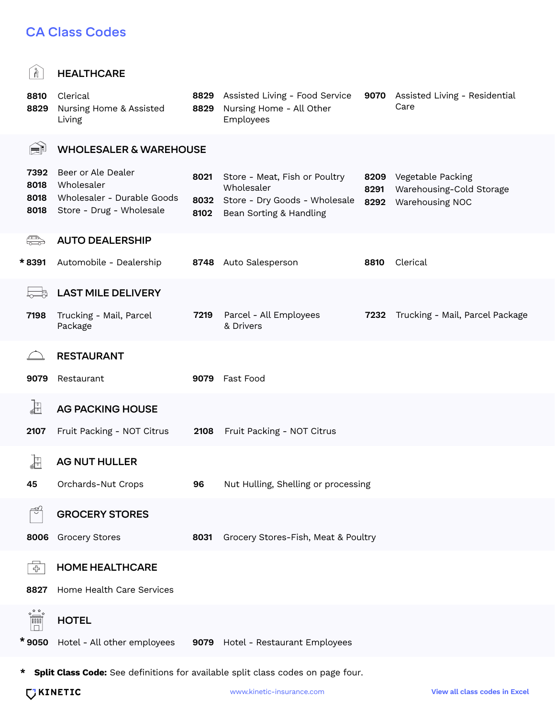#### CA Class Codes

| $\mathbb{R}$                                                                                                                                                                                                                                                                                                                                        | <b>HEALTHCARE</b>                                                                          |                      |                                                                                                         |                      |                                                                  |  |  |  |
|-----------------------------------------------------------------------------------------------------------------------------------------------------------------------------------------------------------------------------------------------------------------------------------------------------------------------------------------------------|--------------------------------------------------------------------------------------------|----------------------|---------------------------------------------------------------------------------------------------------|----------------------|------------------------------------------------------------------|--|--|--|
| 8810<br>8829                                                                                                                                                                                                                                                                                                                                        | Clerical<br>Nursing Home & Assisted<br>Living                                              | 8829<br>8829         | Assisted Living - Food Service<br>Nursing Home - All Other<br>Employees                                 |                      | 9070 Assisted Living - Residential<br>Care                       |  |  |  |
| fi                                                                                                                                                                                                                                                                                                                                                  | <b>WHOLESALER &amp; WAREHOUSE</b>                                                          |                      |                                                                                                         |                      |                                                                  |  |  |  |
| 7392<br>8018<br>8018<br>8018                                                                                                                                                                                                                                                                                                                        | Beer or Ale Dealer<br>Wholesaler<br>Wholesaler - Durable Goods<br>Store - Drug - Wholesale | 8021<br>8032<br>8102 | Store - Meat, Fish or Poultry<br>Wholesaler<br>Store - Dry Goods - Wholesale<br>Bean Sorting & Handling | 8209<br>8291<br>8292 | Vegetable Packing<br>Warehousing-Cold Storage<br>Warehousing NOC |  |  |  |
| ♣                                                                                                                                                                                                                                                                                                                                                   | <b>AUTO DEALERSHIP</b>                                                                     |                      |                                                                                                         |                      |                                                                  |  |  |  |
| * 8391                                                                                                                                                                                                                                                                                                                                              | Automobile - Dealership                                                                    | 8748                 | Auto Salesperson                                                                                        | 8810                 | Clerical                                                         |  |  |  |
|                                                                                                                                                                                                                                                                                                                                                     | <b>LAST MILE DELIVERY</b>                                                                  |                      |                                                                                                         |                      |                                                                  |  |  |  |
| 7198                                                                                                                                                                                                                                                                                                                                                | Trucking - Mail, Parcel<br>Package                                                         | 7219                 | Parcel - All Employees<br>& Drivers                                                                     | 7232                 | Trucking - Mail, Parcel Package                                  |  |  |  |
|                                                                                                                                                                                                                                                                                                                                                     | <b>RESTAURANT</b>                                                                          |                      |                                                                                                         |                      |                                                                  |  |  |  |
| 9079                                                                                                                                                                                                                                                                                                                                                | Restaurant                                                                                 | 9079                 | Fast Food                                                                                               |                      |                                                                  |  |  |  |
| Æ                                                                                                                                                                                                                                                                                                                                                   | <b>AG PACKING HOUSE</b>                                                                    |                      |                                                                                                         |                      |                                                                  |  |  |  |
| 2107                                                                                                                                                                                                                                                                                                                                                | Fruit Packing - NOT Citrus                                                                 | 2108                 | Fruit Packing - NOT Citrus                                                                              |                      |                                                                  |  |  |  |
| Æ                                                                                                                                                                                                                                                                                                                                                   | <b>AG NUT HULLER</b>                                                                       |                      |                                                                                                         |                      |                                                                  |  |  |  |
| 45                                                                                                                                                                                                                                                                                                                                                  | Orchards-Nut Crops<br>Nut Hulling, Shelling or processing<br>96                            |                      |                                                                                                         |                      |                                                                  |  |  |  |
| ಗೆ                                                                                                                                                                                                                                                                                                                                                  | <b>GROCERY STORES</b>                                                                      |                      |                                                                                                         |                      |                                                                  |  |  |  |
| 8006                                                                                                                                                                                                                                                                                                                                                | <b>Grocery Stores</b>                                                                      | 8031                 | Grocery Stores-Fish, Meat & Poultry                                                                     |                      |                                                                  |  |  |  |
| $\overline{G}$                                                                                                                                                                                                                                                                                                                                      | <b>HOME HEALTHCARE</b>                                                                     |                      |                                                                                                         |                      |                                                                  |  |  |  |
| 8827                                                                                                                                                                                                                                                                                                                                                | Home Health Care Services                                                                  |                      |                                                                                                         |                      |                                                                  |  |  |  |
| $\begin{picture}(120,115) \put(0,0){\line(1,0){15}} \put(15,0){\line(1,0){15}} \put(15,0){\line(1,0){15}} \put(15,0){\line(1,0){15}} \put(15,0){\line(1,0){15}} \put(15,0){\line(1,0){15}} \put(15,0){\line(1,0){15}} \put(15,0){\line(1,0){15}} \put(15,0){\line(1,0){15}} \put(15,0){\line(1,0){15}} \put(15,0){\line(1,0){15}} \put(15,0){\line$ | <b>HOTEL</b>                                                                               |                      |                                                                                                         |                      |                                                                  |  |  |  |

**\*** 9050 Hotel - All other employees 9079 Hotel - Restaurant Employees

**\* Split Class Code:** See definitions for available split class codes on page four.